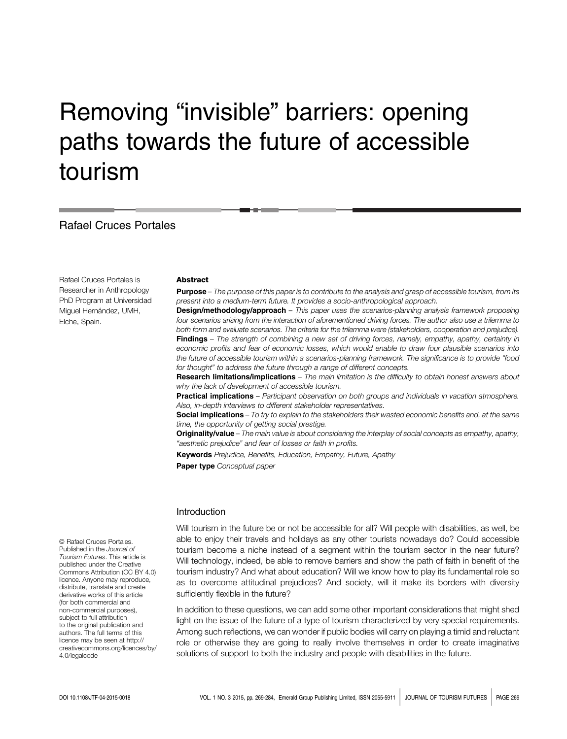# Removing "invisible" barriers: opening paths towards the future of accessible tourism

Rafael Cruces Portales

Rafael Cruces Portales is Researcher in Anthropology PhD Program at Universidad Miguel Hernández, UMH, Elche, Spain.

#### **Abstract**

Purpose – The purpose of this paper is to contribute to the analysis and grasp of accessible tourism, from its present into a medium-term future. It provides a socio-anthropological approach.

**Design/methodology/approach** – This paper uses the scenarios-planning analysis framework proposing four scenarios arising from the interaction of aforementioned driving forces. The author also use a trilemma to both form and evaluate scenarios. The criteria for the trilemma were (stakeholders, cooperation and prejudice). **Findings** – The strength of combining a new set of driving forces, namely, empathy, apathy, certainty in economic profits and fear of economic losses, which would enable to draw four plausible scenarios into the future of accessible tourism within a scenarios-planning framework. The significance is to provide "food for thought" to address the future through a range of different concepts.

Research limitations/implications – The main limitation is the difficulty to obtain honest answers about why the lack of development of accessible tourism.

Practical implications - Participant observation on both groups and individuals in vacation atmosphere. Also, in-depth interviews to different stakeholder representatives.

Social implications – To try to explain to the stakeholders their wasted economic benefits and, at the same time, the opportunity of getting social prestige.

Originality/value – The main value is about considering the interplay of social concepts as empathy, apathy, "aesthetic prejudice" and fear of losses or faith in profits.

Keywords Prejudice, Benefits, Education, Empathy, Future, Apathy

Paper type Conceptual paper

### Introduction

Will tourism in the future be or not be accessible for all? Will people with disabilities, as well, be able to enjoy their travels and holidays as any other tourists nowadays do? Could accessible tourism become a niche instead of a segment within the tourism sector in the near future? Will technology, indeed, be able to remove barriers and show the path of faith in benefit of the tourism industry? And what about education? Will we know how to play its fundamental role so as to overcome attitudinal prejudices? And society, will it make its borders with diversity sufficiently flexible in the future?

In addition to these questions, we can add some other important considerations that might shed light on the issue of the future of a type of tourism characterized by very special requirements. Among such reflections, we can wonder if public bodies will carry on playing a timid and reluctant role or otherwise they are going to really involve themselves in order to create imaginative solutions of support to both the industry and people with disabilities in the future.

© Rafael Cruces Portales. Published in the Journal of Tourism Futures. This article is published under the Creative Commons Attribution (CC BY 4.0) licence. Anyone may reproduce, distribute, translate and create derivative works of this article (for both commercial and non-commercial purposes), subject to full attribution to the original publication and authors. The full terms of this licence may be seen at [http://](http://creativecommons.org/licences/by/4.0/legalcode) [creativecommons.org/licences/by/](http://creativecommons.org/licences/by/4.0/legalcode) [4.0/legalcode](http://creativecommons.org/licences/by/4.0/legalcode)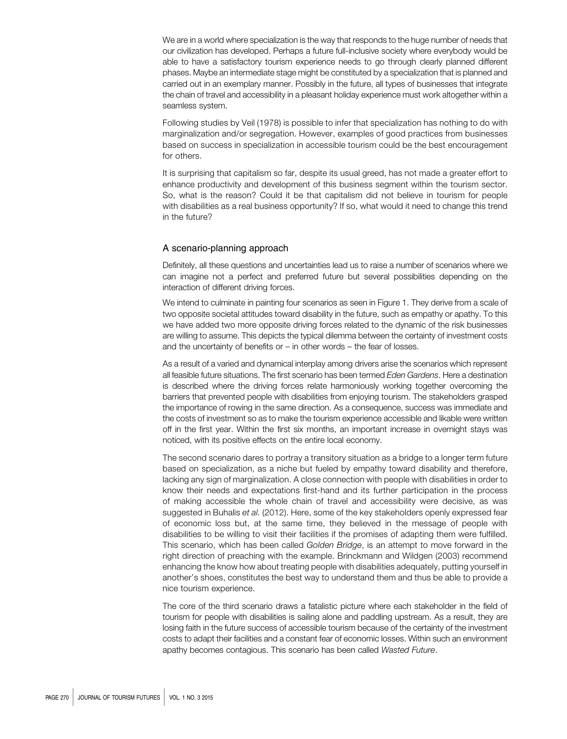We are in a world where specialization is the way that responds to the huge number of needs that our civilization has developed. Perhaps a future full-inclusive society where everybody would be able to have a satisfactory tourism experience needs to go through clearly planned different phases. Maybe an intermediate stage might be constituted by a specialization that is planned and carried out in an exemplary manner. Possibly in the future, all types of businesses that integrate the chain of travel and accessibility in a pleasant holiday experience must work altogether within a seamless system.

Following studies by Veil (1978) is possible to infer that specialization has nothing to do with marginalization and/or segregation. However, examples of good practices from businesses based on success in specialization in accessible tourism could be the best encouragement for others.

It is surprising that capitalism so far, despite its usual greed, has not made a greater effort to enhance productivity and development of this business segment within the tourism sector. So, what is the reason? Could it be that capitalism did not believe in tourism for people with disabilities as a real business opportunity? If so, what would it need to change this trend in the future?

# A scenario-planning approach

Definitely, all these questions and uncertainties lead us to raise a number of scenarios where we can imagine not a perfect and preferred future but several possibilities depending on the interaction of different driving forces.

We intend to culminate in painting four scenarios as seen in Figure 1. They derive from a scale of two opposite societal attitudes toward disability in the future, such as empathy or apathy. To this we have added two more opposite driving forces related to the dynamic of the risk businesses are willing to assume. This depicts the typical dilemma between the certainty of investment costs and the uncertainty of benefits or – in other words – the fear of losses.

As a result of a varied and dynamical interplay among drivers arise the scenarios which represent all feasible future situations. The first scenario has been termed Eden Gardens. Here a destination is described where the driving forces relate harmoniously working together overcoming the barriers that prevented people with disabilities from enjoying tourism. The stakeholders grasped the importance of rowing in the same direction. As a consequence, success was immediate and the costs of investment so as to make the tourism experience accessible and likable were written off in the first year. Within the first six months, an important increase in overnight stays was noticed, with its positive effects on the entire local economy.

The second scenario dares to portray a transitory situation as a bridge to a longer term future based on specialization, as a niche but fueled by empathy toward disability and therefore, lacking any sign of marginalization. A close connection with people with disabilities in order to know their needs and expectations first-hand and its further participation in the process of making accessible the whole chain of travel and accessibility were decisive, as was suggested in Buhalis et al. (2012). Here, some of the key stakeholders openly expressed fear of economic loss but, at the same time, they believed in the message of people with disabilities to be willing to visit their facilities if the promises of adapting them were fulfilled. This scenario, which has been called Golden Bridge, is an attempt to move forward in the right direction of preaching with the example. Brinckmann and Wildgen (2003) recommend enhancing the know how about treating people with disabilities adequately, putting yourself in another's shoes, constitutes the best way to understand them and thus be able to provide a nice tourism experience.

The core of the third scenario draws a fatalistic picture where each stakeholder in the field of tourism for people with disabilities is sailing alone and paddling upstream. As a result, they are losing faith in the future success of accessible tourism because of the certainty of the investment costs to adapt their facilities and a constant fear of economic losses. Within such an environment apathy becomes contagious. This scenario has been called Wasted Future.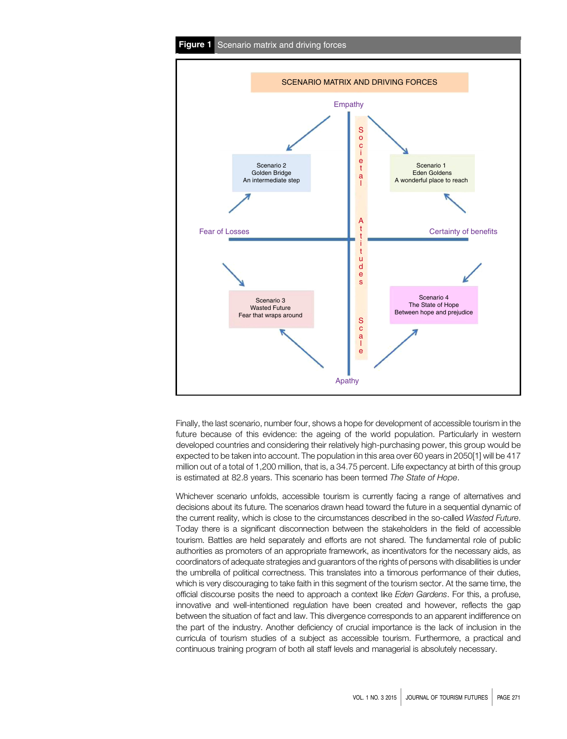

Finally, the last scenario, number four, shows a hope for development of accessible tourism in the future because of this evidence: the ageing of the world population. Particularly in western developed countries and considering their relatively high-purchasing power, this group would be expected to be taken into account. The population in this area over 60 years in 2050[1] will be 417 million out of a total of 1,200 million, that is, a 34.75 percent. Life expectancy at birth of this group is estimated at 82.8 years. This scenario has been termed The State of Hope.

Whichever scenario unfolds, accessible tourism is currently facing a range of alternatives and decisions about its future. The scenarios drawn head toward the future in a sequential dynamic of the current reality, which is close to the circumstances described in the so-called Wasted Future. Today there is a significant disconnection between the stakeholders in the field of accessible tourism. Battles are held separately and efforts are not shared. The fundamental role of public authorities as promoters of an appropriate framework, as incentivators for the necessary aids, as coordinators of adequate strategies and guarantors of the rights of persons with disabilities is under the umbrella of political correctness. This translates into a timorous performance of their duties, which is very discouraging to take faith in this segment of the tourism sector. At the same time, the official discourse posits the need to approach a context like Eden Gardens. For this, a profuse, innovative and well-intentioned regulation have been created and however, reflects the gap between the situation of fact and law. This divergence corresponds to an apparent indifference on the part of the industry. Another deficiency of crucial importance is the lack of inclusion in the curricula of tourism studies of a subject as accessible tourism. Furthermore, a practical and continuous training program of both all staff levels and managerial is absolutely necessary.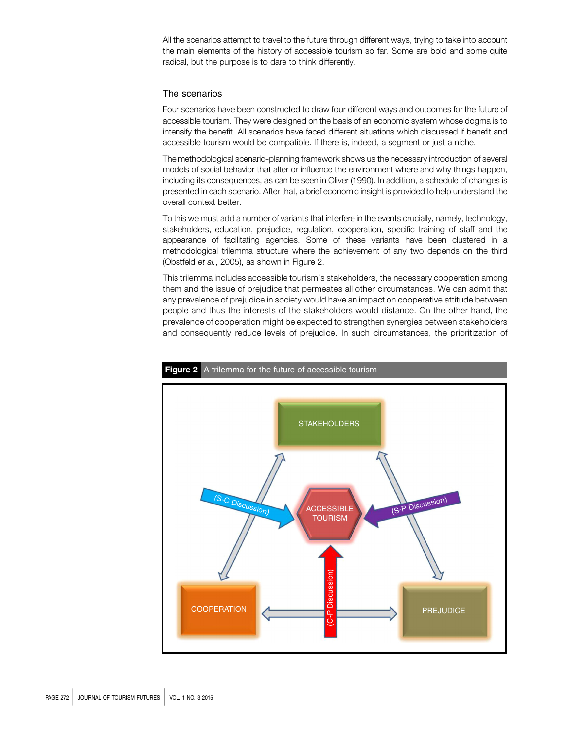All the scenarios attempt to travel to the future through different ways, trying to take into account the main elements of the history of accessible tourism so far. Some are bold and some quite radical, but the purpose is to dare to think differently.

# The scenarios

Four scenarios have been constructed to draw four different ways and outcomes for the future of accessible tourism. They were designed on the basis of an economic system whose dogma is to intensify the benefit. All scenarios have faced different situations which discussed if benefit and accessible tourism would be compatible. If there is, indeed, a segment or just a niche.

The methodological scenario-planning framework shows us the necessary introduction of several models of social behavior that alter or influence the environment where and why things happen, including its consequences, as can be seen in Oliver (1990). In addition, a schedule of changes is presented in each scenario. After that, a brief economic insight is provided to help understand the overall context better.

To this we must add a number of variants that interfere in the events crucially, namely, technology, stakeholders, education, prejudice, regulation, cooperation, specific training of staff and the appearance of facilitating agencies. Some of these variants have been clustered in a methodological trilemma structure where the achievement of any two depends on the third (Obstfeld et al., 2005), as shown in Figure 2.

This trilemma includes accessible tourism's stakeholders, the necessary cooperation among them and the issue of prejudice that permeates all other circumstances. We can admit that any prevalence of prejudice in society would have an impact on cooperative attitude between people and thus the interests of the stakeholders would distance. On the other hand, the prevalence of cooperation might be expected to strengthen synergies between stakeholders and consequently reduce levels of prejudice. In such circumstances, the prioritization of

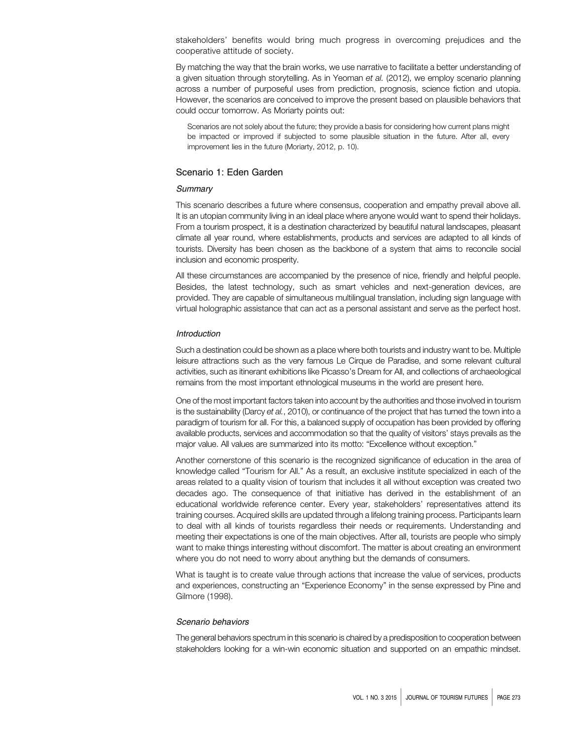stakeholders' benefits would bring much progress in overcoming prejudices and the cooperative attitude of society.

By matching the way that the brain works, we use narrative to facilitate a better understanding of a given situation through storytelling. As in Yeoman et al. (2012), we employ scenario planning across a number of purposeful uses from prediction, prognosis, science fiction and utopia. However, the scenarios are conceived to improve the present based on plausible behaviors that could occur tomorrow. As Moriarty points out:

Scenarios are not solely about the future; they provide a basis for considering how current plans might be impacted or improved if subjected to some plausible situation in the future. After all, every improvement lies in the future (Moriarty, 2012, p. 10).

## Scenario 1: Eden Garden

## **Summary**

This scenario describes a future where consensus, cooperation and empathy prevail above all. It is an utopian community living in an ideal place where anyone would want to spend their holidays. From a tourism prospect, it is a destination characterized by beautiful natural landscapes, pleasant climate all year round, where establishments, products and services are adapted to all kinds of tourists. Diversity has been chosen as the backbone of a system that aims to reconcile social inclusion and economic prosperity.

All these circumstances are accompanied by the presence of nice, friendly and helpful people. Besides, the latest technology, such as smart vehicles and next-generation devices, are provided. They are capable of simultaneous multilingual translation, including sign language with virtual holographic assistance that can act as a personal assistant and serve as the perfect host.

## Introduction

Such a destination could be shown as a place where both tourists and industry want to be. Multiple leisure attractions such as the very famous Le Cirque de Paradise, and some relevant cultural activities, such as itinerant exhibitions like Picasso's Dream for All, and collections of archaeological remains from the most important ethnological museums in the world are present here.

One of the most important factors taken into account by the authorities and those involved in tourism is the sustainability (Darcy et  $al$ , 2010), or continuance of the project that has turned the town into a paradigm of tourism for all. For this, a balanced supply of occupation has been provided by offering available products, services and accommodation so that the quality of visitors' stays prevails as the major value. All values are summarized into its motto: "Excellence without exception."

Another cornerstone of this scenario is the recognized significance of education in the area of knowledge called "Tourism for All." As a result, an exclusive institute specialized in each of the areas related to a quality vision of tourism that includes it all without exception was created two decades ago. The consequence of that initiative has derived in the establishment of an educational worldwide reference center. Every year, stakeholders' representatives attend its training courses. Acquired skills are updated through a lifelong training process. Participants learn to deal with all kinds of tourists regardless their needs or requirements. Understanding and meeting their expectations is one of the main objectives. After all, tourists are people who simply want to make things interesting without discomfort. The matter is about creating an environment where you do not need to worry about anything but the demands of consumers.

What is taught is to create value through actions that increase the value of services, products and experiences, constructing an "Experience Economy" in the sense expressed by Pine and Gilmore (1998).

# Scenario behaviors

The general behaviors spectrum in this scenario is chaired by a predisposition to cooperation between stakeholders looking for a win-win economic situation and supported on an empathic mindset.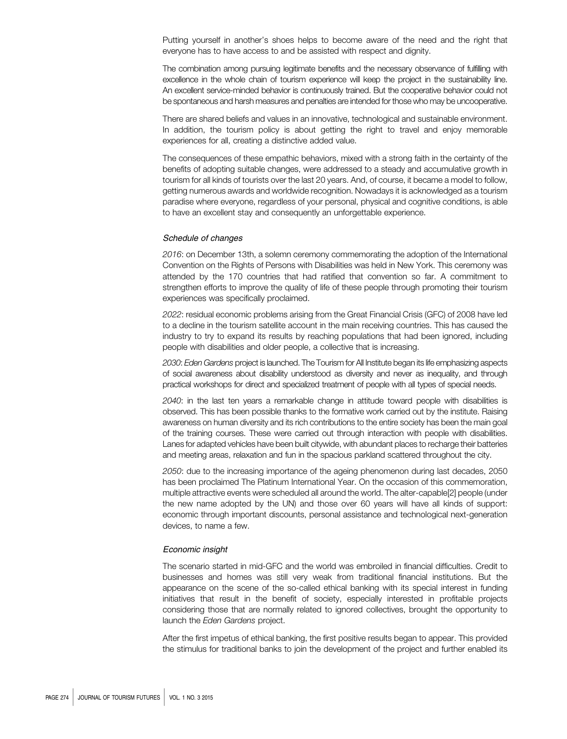Putting yourself in another's shoes helps to become aware of the need and the right that everyone has to have access to and be assisted with respect and dignity.

The combination among pursuing legitimate benefits and the necessary observance of fulfilling with excellence in the whole chain of tourism experience will keep the project in the sustainability line. An excellent service-minded behavior is continuously trained. But the cooperative behavior could not be spontaneous and harsh measures and penalties are intended for those who may be uncooperative.

There are shared beliefs and values in an innovative, technological and sustainable environment. In addition, the tourism policy is about getting the right to travel and enjoy memorable experiences for all, creating a distinctive added value.

The consequences of these empathic behaviors, mixed with a strong faith in the certainty of the benefits of adopting suitable changes, were addressed to a steady and accumulative growth in tourism for all kinds of tourists over the last 20 years. And, of course, it became a model to follow, getting numerous awards and worldwide recognition. Nowadays it is acknowledged as a tourism paradise where everyone, regardless of your personal, physical and cognitive conditions, is able to have an excellent stay and consequently an unforgettable experience.

#### Schedule of changes

2016: on December 13th, a solemn ceremony commemorating the adoption of the International Convention on the Rights of Persons with Disabilities was held in New York. This ceremony was attended by the 170 countries that had ratified that convention so far. A commitment to strengthen efforts to improve the quality of life of these people through promoting their tourism experiences was specifically proclaimed.

2022: residual economic problems arising from the Great Financial Crisis (GFC) of 2008 have led to a decline in the tourism satellite account in the main receiving countries. This has caused the industry to try to expand its results by reaching populations that had been ignored, including people with disabilities and older people, a collective that is increasing.

2030: Eden Gardens project is launched. The Tourism for All Institute began its life emphasizing aspects of social awareness about disability understood as diversity and never as inequality, and through practical workshops for direct and specialized treatment of people with all types of special needs.

2040: in the last ten years a remarkable change in attitude toward people with disabilities is observed. This has been possible thanks to the formative work carried out by the institute. Raising awareness on human diversity and its rich contributions to the entire society has been the main goal of the training courses. These were carried out through interaction with people with disabilities. Lanes for adapted vehicles have been built citywide, with abundant places to recharge their batteries and meeting areas, relaxation and fun in the spacious parkland scattered throughout the city.

2050: due to the increasing importance of the ageing phenomenon during last decades, 2050 has been proclaimed The Platinum International Year. On the occasion of this commemoration, multiple attractive events were scheduled all around the world. The alter-capable[2] people (under the new name adopted by the UN) and those over 60 years will have all kinds of support: economic through important discounts, personal assistance and technological next-generation devices, to name a few.

## Economic insight

The scenario started in mid-GFC and the world was embroiled in financial difficulties. Credit to businesses and homes was still very weak from traditional financial institutions. But the appearance on the scene of the so-called ethical banking with its special interest in funding initiatives that result in the benefit of society, especially interested in profitable projects considering those that are normally related to ignored collectives, brought the opportunity to launch the Eden Gardens project.

After the first impetus of ethical banking, the first positive results began to appear. This provided the stimulus for traditional banks to join the development of the project and further enabled its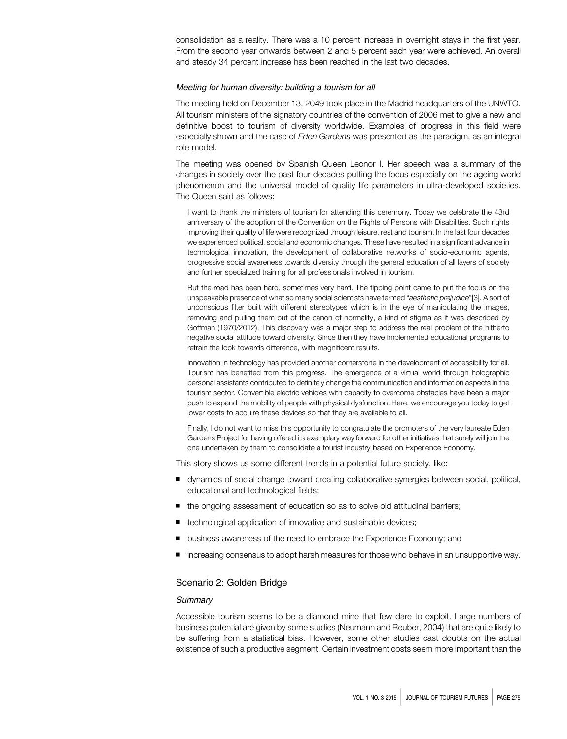consolidation as a reality. There was a 10 percent increase in overnight stays in the first year. From the second year onwards between 2 and 5 percent each year were achieved. An overall and steady 34 percent increase has been reached in the last two decades.

#### Meeting for human diversity: building a tourism for all

The meeting held on December 13, 2049 took place in the Madrid headquarters of the UNWTO. All tourism ministers of the signatory countries of the convention of 2006 met to give a new and definitive boost to tourism of diversity worldwide. Examples of progress in this field were especially shown and the case of Eden Gardens was presented as the paradigm, as an integral role model.

The meeting was opened by Spanish Queen Leonor I. Her speech was a summary of the changes in society over the past four decades putting the focus especially on the ageing world phenomenon and the universal model of quality life parameters in ultra-developed societies. The Queen said as follows:

I want to thank the ministers of tourism for attending this ceremony. Today we celebrate the 43rd anniversary of the adoption of the Convention on the Rights of Persons with Disabilities. Such rights improving their quality of life were recognized through leisure, rest and tourism. In the last four decades we experienced political, social and economic changes. These have resulted in a significant advance in technological innovation, the development of collaborative networks of socio-economic agents, progressive social awareness towards diversity through the general education of all layers of society and further specialized training for all professionals involved in tourism.

But the road has been hard, sometimes very hard. The tipping point came to put the focus on the unspeakable presence of what so many social scientists have termed "aesthetic prejudice"[3]. A sort of unconscious filter built with different stereotypes which is in the eye of manipulating the images, removing and pulling them out of the canon of normality, a kind of stigma as it was described by Goffman (1970/2012). This discovery was a major step to address the real problem of the hitherto negative social attitude toward diversity. Since then they have implemented educational programs to retrain the look towards difference, with magnificent results.

Innovation in technology has provided another cornerstone in the development of accessibility for all. Tourism has benefited from this progress. The emergence of a virtual world through holographic personal assistants contributed to definitely change the communication and information aspects in the tourism sector. Convertible electric vehicles with capacity to overcome obstacles have been a major push to expand the mobility of people with physical dysfunction. Here, we encourage you today to get lower costs to acquire these devices so that they are available to all.

Finally, I do not want to miss this opportunity to congratulate the promoters of the very laureate Eden Gardens Project for having offered its exemplary way forward for other initiatives that surely will join the one undertaken by them to consolidate a tourist industry based on Experience Economy.

This story shows us some different trends in a potential future society, like:

- dynamics of social change toward creating collaborative synergies between social, political, educational and technological fields;
- the ongoing assessment of education so as to solve old attitudinal barriers;
- technological application of innovative and sustainable devices;
- business awareness of the need to embrace the Experience Economy; and
- increasing consensus to adopt harsh measures for those who behave in an unsupportive way.

# Scenario 2: Golden Bridge

#### **Summary**

Accessible tourism seems to be a diamond mine that few dare to exploit. Large numbers of business potential are given by some studies (Neumann and Reuber, 2004) that are quite likely to be suffering from a statistical bias. However, some other studies cast doubts on the actual existence of such a productive segment. Certain investment costs seem more important than the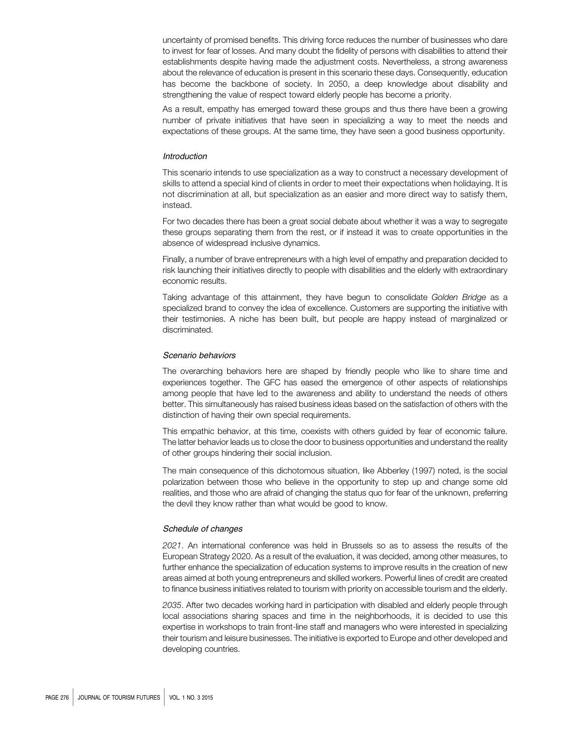uncertainty of promised benefits. This driving force reduces the number of businesses who dare to invest for fear of losses. And many doubt the fidelity of persons with disabilities to attend their establishments despite having made the adjustment costs. Nevertheless, a strong awareness about the relevance of education is present in this scenario these days. Consequently, education has become the backbone of society. In 2050, a deep knowledge about disability and strengthening the value of respect toward elderly people has become a priority.

As a result, empathy has emerged toward these groups and thus there have been a growing number of private initiatives that have seen in specializing a way to meet the needs and expectations of these groups. At the same time, they have seen a good business opportunity.

#### Introduction

This scenario intends to use specialization as a way to construct a necessary development of skills to attend a special kind of clients in order to meet their expectations when holidaying. It is not discrimination at all, but specialization as an easier and more direct way to satisfy them, instead.

For two decades there has been a great social debate about whether it was a way to segregate these groups separating them from the rest, or if instead it was to create opportunities in the absence of widespread inclusive dynamics.

Finally, a number of brave entrepreneurs with a high level of empathy and preparation decided to risk launching their initiatives directly to people with disabilities and the elderly with extraordinary economic results.

Taking advantage of this attainment, they have begun to consolidate Golden Bridge as a specialized brand to convey the idea of excellence. Customers are supporting the initiative with their testimonies. A niche has been built, but people are happy instead of marginalized or discriminated.

## Scenario behaviors

The overarching behaviors here are shaped by friendly people who like to share time and experiences together. The GFC has eased the emergence of other aspects of relationships among people that have led to the awareness and ability to understand the needs of others better. This simultaneously has raised business ideas based on the satisfaction of others with the distinction of having their own special requirements.

This empathic behavior, at this time, coexists with others guided by fear of economic failure. The latter behavior leads us to close the door to business opportunities and understand the reality of other groups hindering their social inclusion.

The main consequence of this dichotomous situation, like Abberley (1997) noted, is the social polarization between those who believe in the opportunity to step up and change some old realities, and those who are afraid of changing the status quo for fear of the unknown, preferring the devil they know rather than what would be good to know.

#### Schedule of changes

2021. An international conference was held in Brussels so as to assess the results of the European Strategy 2020. As a result of the evaluation, it was decided, among other measures, to further enhance the specialization of education systems to improve results in the creation of new areas aimed at both young entrepreneurs and skilled workers. Powerful lines of credit are created to finance business initiatives related to tourism with priority on accessible tourism and the elderly.

2035. After two decades working hard in participation with disabled and elderly people through local associations sharing spaces and time in the neighborhoods, it is decided to use this expertise in workshops to train front-line staff and managers who were interested in specializing their tourism and leisure businesses. The initiative is exported to Europe and other developed and developing countries.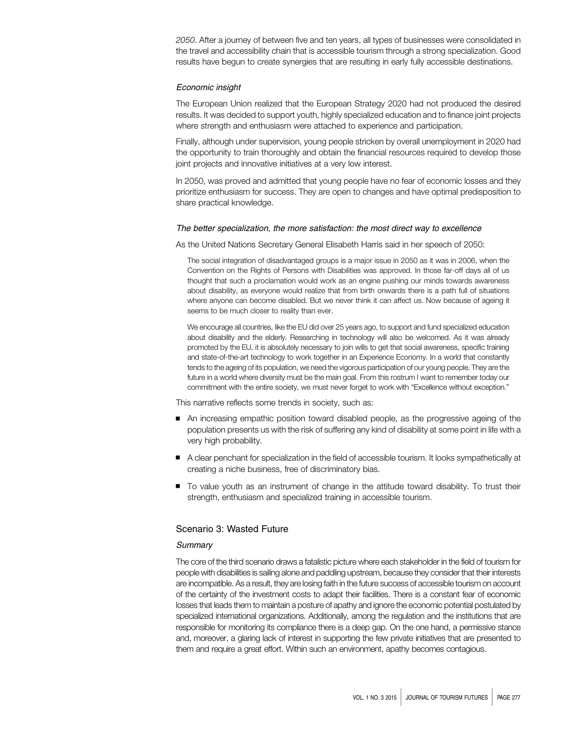2050. After a journey of between five and ten years, all types of businesses were consolidated in the travel and accessibility chain that is accessible tourism through a strong specialization. Good results have begun to create synergies that are resulting in early fully accessible destinations.

## Economic insight

The European Union realized that the European Strategy 2020 had not produced the desired results. It was decided to support youth, highly specialized education and to finance joint projects where strength and enthusiasm were attached to experience and participation.

Finally, although under supervision, young people stricken by overall unemployment in 2020 had the opportunity to train thoroughly and obtain the financial resources required to develop those joint projects and innovative initiatives at a very low interest.

In 2050, was proved and admitted that young people have no fear of economic losses and they prioritize enthusiasm for success. They are open to changes and have optimal predisposition to share practical knowledge.

### The better specialization, the more satisfaction: the most direct way to excellence

As the United Nations Secretary General Elisabeth Harris said in her speech of 2050:

The social integration of disadvantaged groups is a major issue in 2050 as it was in 2006, when the Convention on the Rights of Persons with Disabilities was approved. In those far-off days all of us thought that such a proclamation would work as an engine pushing our minds towards awareness about disability, as everyone would realize that from birth onwards there is a path full of situations where anyone can become disabled. But we never think it can affect us. Now because of ageing it seems to be much closer to reality than ever.

We encourage all countries, like the EU did over 25 years ago, to support and fund specialized education about disability and the elderly. Researching in technology will also be welcomed. As it was already promoted by the EU, it is absolutely necessary to join wills to get that social awareness, specific training and state-of-the-art technology to work together in an Experience Economy. In a world that constantly tends to the ageing of its population, we need the vigorous participation of our young people. They are the future in a world where diversity must be the main goal. From this rostrum I want to remember today our commitment with the entire society, we must never forget to work with "Excellence without exception."

This narrative reflects some trends in society, such as:

- An increasing empathic position toward disabled people, as the progressive ageing of the population presents us with the risk of suffering any kind of disability at some point in life with a very high probability.
- A clear penchant for specialization in the field of accessible tourism. It looks sympathetically at creating a niche business, free of discriminatory bias.
- To value youth as an instrument of change in the attitude toward disability. To trust their strength, enthusiasm and specialized training in accessible tourism.

# Scenario 3: Wasted Future

# **Summary**

The core of the third scenario draws a fatalistic picture where each stakeholder in the field of tourism for people with disabilities is sailing alone and paddling upstream, because they consider that their interests are incompatible. As a result, they are losing faith in the future success of accessible tourism on account of the certainty of the investment costs to adapt their facilities. There is a constant fear of economic losses that leads them to maintain a posture of apathy and ignore the economic potential postulated by specialized international organizations. Additionally, among the regulation and the institutions that are responsible for monitoring its compliance there is a deep gap. On the one hand, a permissive stance and, moreover, a glaring lack of interest in supporting the few private initiatives that are presented to them and require a great effort. Within such an environment, apathy becomes contagious.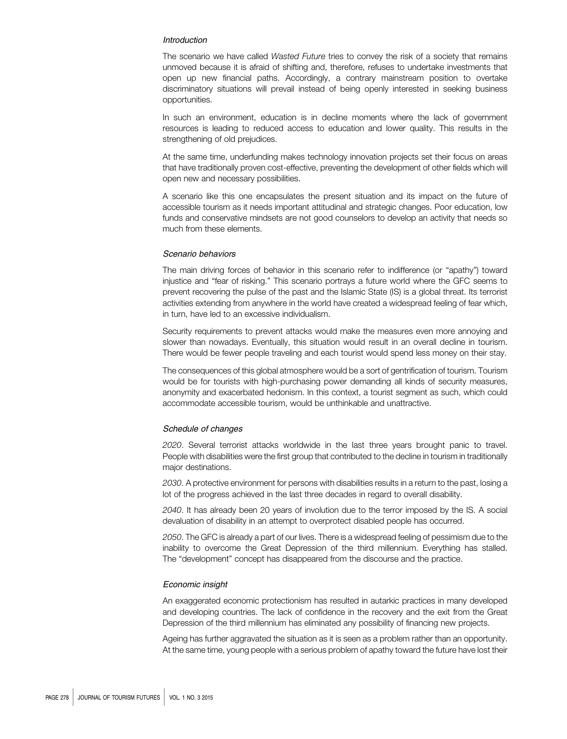## Introduction

The scenario we have called Wasted Future tries to convey the risk of a society that remains unmoved because it is afraid of shifting and, therefore, refuses to undertake investments that open up new financial paths. Accordingly, a contrary mainstream position to overtake discriminatory situations will prevail instead of being openly interested in seeking business opportunities.

In such an environment, education is in decline moments where the lack of government resources is leading to reduced access to education and lower quality. This results in the strengthening of old prejudices.

At the same time, underfunding makes technology innovation projects set their focus on areas that have traditionally proven cost-effective, preventing the development of other fields which will open new and necessary possibilities.

A scenario like this one encapsulates the present situation and its impact on the future of accessible tourism as it needs important attitudinal and strategic changes. Poor education, low funds and conservative mindsets are not good counselors to develop an activity that needs so much from these elements.

## Scenario behaviors

The main driving forces of behavior in this scenario refer to indifference (or "apathy") toward injustice and "fear of risking." This scenario portrays a future world where the GFC seems to prevent recovering the pulse of the past and the Islamic State (IS) is a global threat. Its terrorist activities extending from anywhere in the world have created a widespread feeling of fear which, in turn, have led to an excessive individualism.

Security requirements to prevent attacks would make the measures even more annoying and slower than nowadays. Eventually, this situation would result in an overall decline in tourism. There would be fewer people traveling and each tourist would spend less money on their stay.

The consequences of this global atmosphere would be a sort of gentrification of tourism. Tourism would be for tourists with high-purchasing power demanding all kinds of security measures, anonymity and exacerbated hedonism. In this context, a tourist segment as such, which could accommodate accessible tourism, would be unthinkable and unattractive.

# Schedule of changes

2020. Several terrorist attacks worldwide in the last three years brought panic to travel. People with disabilities were the first group that contributed to the decline in tourism in traditionally major destinations.

2030. A protective environment for persons with disabilities results in a return to the past, losing a lot of the progress achieved in the last three decades in regard to overall disability.

2040. It has already been 20 years of involution due to the terror imposed by the IS. A social devaluation of disability in an attempt to overprotect disabled people has occurred.

2050. The GFC is already a part of our lives. There is a widespread feeling of pessimism due to the inability to overcome the Great Depression of the third millennium. Everything has stalled. The "development" concept has disappeared from the discourse and the practice.

### Economic insight

An exaggerated economic protectionism has resulted in autarkic practices in many developed and developing countries. The lack of confidence in the recovery and the exit from the Great Depression of the third millennium has eliminated any possibility of financing new projects.

Ageing has further aggravated the situation as it is seen as a problem rather than an opportunity. At the same time, young people with a serious problem of apathy toward the future have lost their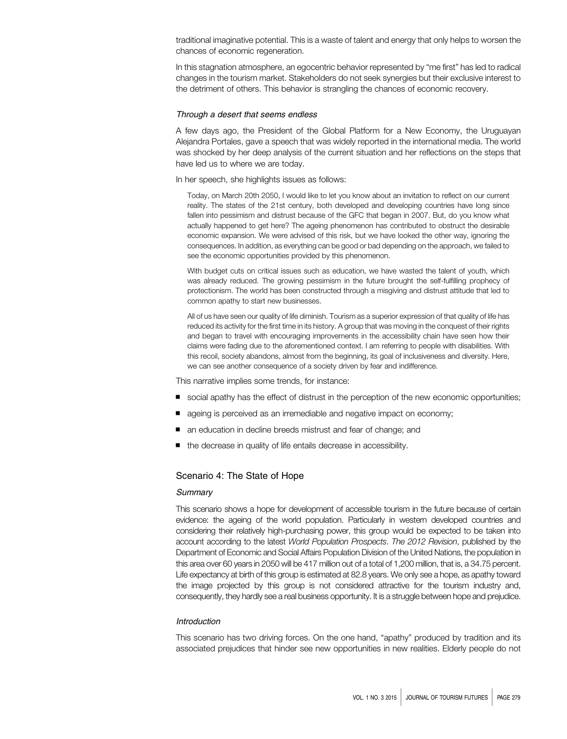traditional imaginative potential. This is a waste of talent and energy that only helps to worsen the chances of economic regeneration.

In this stagnation atmosphere, an egocentric behavior represented by "me first" has led to radical changes in the tourism market. Stakeholders do not seek synergies but their exclusive interest to the detriment of others. This behavior is strangling the chances of economic recovery.

## Through a desert that seems endless

A few days ago, the President of the Global Platform for a New Economy, the Uruguayan Alejandra Portales, gave a speech that was widely reported in the international media. The world was shocked by her deep analysis of the current situation and her reflections on the steps that have led us to where we are today.

In her speech, she highlights issues as follows:

Today, on March 20th 2050, I would like to let you know about an invitation to reflect on our current reality. The states of the 21st century, both developed and developing countries have long since fallen into pessimism and distrust because of the GFC that began in 2007. But, do you know what actually happened to get here? The ageing phenomenon has contributed to obstruct the desirable economic expansion. We were advised of this risk, but we have looked the other way, ignoring the consequences. In addition, as everything can be good or bad depending on the approach, we failed to see the economic opportunities provided by this phenomenon.

With budget cuts on critical issues such as education, we have wasted the talent of youth, which was already reduced. The growing pessimism in the future brought the self-fulfilling prophecy of protectionism. The world has been constructed through a misgiving and distrust attitude that led to common apathy to start new businesses.

All of us have seen our quality of life diminish. Tourism as a superior expression of that quality of life has reduced its activity for the first time in its history. A group that was moving in the conquest of their rights and began to travel with encouraging improvements in the accessibility chain have seen how their claims were fading due to the aforementioned context. I am referring to people with disabilities. With this recoil, society abandons, almost from the beginning, its goal of inclusiveness and diversity. Here, we can see another consequence of a society driven by fear and indifference.

This narrative implies some trends, for instance:

- social apathy has the effect of distrust in the perception of the new economic opportunities;
- ageing is perceived as an irremediable and negative impact on economy;
- an education in decline breeds mistrust and fear of change; and
- the decrease in quality of life entails decrease in accessibility.

## Scenario 4: The State of Hope

#### **Summary**

This scenario shows a hope for development of accessible tourism in the future because of certain evidence: the ageing of the world population. Particularly in western developed countries and considering their relatively high-purchasing power, this group would be expected to be taken into account according to the latest World Population Prospects. The 2012 Revision, published by the Department of Economic and Social Affairs Population Division of the United Nations, the population in this area over 60 years in 2050 will be 417 million out of a total of 1,200 million, that is, a 34.75 percent. Life expectancy at birth of this group is estimated at 82.8 years. We only see a hope, as apathy toward the image projected by this group is not considered attractive for the tourism industry and, consequently, they hardly see a real business opportunity. It is a struggle between hope and prejudice.

# Introduction

This scenario has two driving forces. On the one hand, "apathy" produced by tradition and its associated prejudices that hinder see new opportunities in new realities. Elderly people do not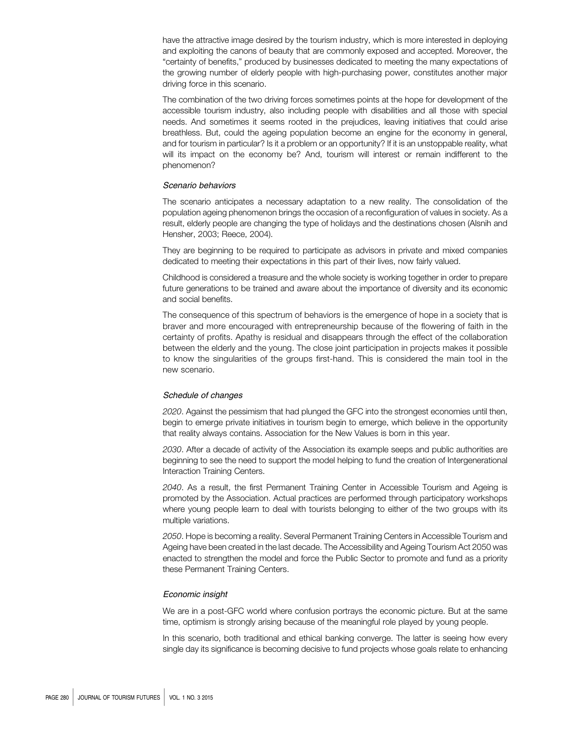have the attractive image desired by the tourism industry, which is more interested in deploying and exploiting the canons of beauty that are commonly exposed and accepted. Moreover, the "certainty of benefits," produced by businesses dedicated to meeting the many expectations of the growing number of elderly people with high-purchasing power, constitutes another major driving force in this scenario.

The combination of the two driving forces sometimes points at the hope for development of the accessible tourism industry, also including people with disabilities and all those with special needs. And sometimes it seems rooted in the prejudices, leaving initiatives that could arise breathless. But, could the ageing population become an engine for the economy in general, and for tourism in particular? Is it a problem or an opportunity? If it is an unstoppable reality, what will its impact on the economy be? And, tourism will interest or remain indifferent to the phenomenon?

## Scenario behaviors

The scenario anticipates a necessary adaptation to a new reality. The consolidation of the population ageing phenomenon brings the occasion of a reconfiguration of values in society. As a result, elderly people are changing the type of holidays and the destinations chosen (Alsnih and Hensher, 2003; Reece, 2004).

They are beginning to be required to participate as advisors in private and mixed companies dedicated to meeting their expectations in this part of their lives, now fairly valued.

Childhood is considered a treasure and the whole society is working together in order to prepare future generations to be trained and aware about the importance of diversity and its economic and social benefits.

The consequence of this spectrum of behaviors is the emergence of hope in a society that is braver and more encouraged with entrepreneurship because of the flowering of faith in the certainty of profits. Apathy is residual and disappears through the effect of the collaboration between the elderly and the young. The close joint participation in projects makes it possible to know the singularities of the groups first-hand. This is considered the main tool in the new scenario.

### Schedule of changes

2020. Against the pessimism that had plunged the GFC into the strongest economies until then, begin to emerge private initiatives in tourism begin to emerge, which believe in the opportunity that reality always contains. Association for the New Values is born in this year.

2030. After a decade of activity of the Association its example seeps and public authorities are beginning to see the need to support the model helping to fund the creation of Intergenerational Interaction Training Centers.

2040. As a result, the first Permanent Training Center in Accessible Tourism and Ageing is promoted by the Association. Actual practices are performed through participatory workshops where young people learn to deal with tourists belonging to either of the two groups with its multiple variations.

2050. Hope is becoming a reality. Several Permanent Training Centers in Accessible Tourism and Ageing have been created in the last decade. The Accessibility and Ageing Tourism Act 2050 was enacted to strengthen the model and force the Public Sector to promote and fund as a priority these Permanent Training Centers.

## Economic insight

We are in a post-GFC world where confusion portrays the economic picture. But at the same time, optimism is strongly arising because of the meaningful role played by young people.

In this scenario, both traditional and ethical banking converge. The latter is seeing how every single day its significance is becoming decisive to fund projects whose goals relate to enhancing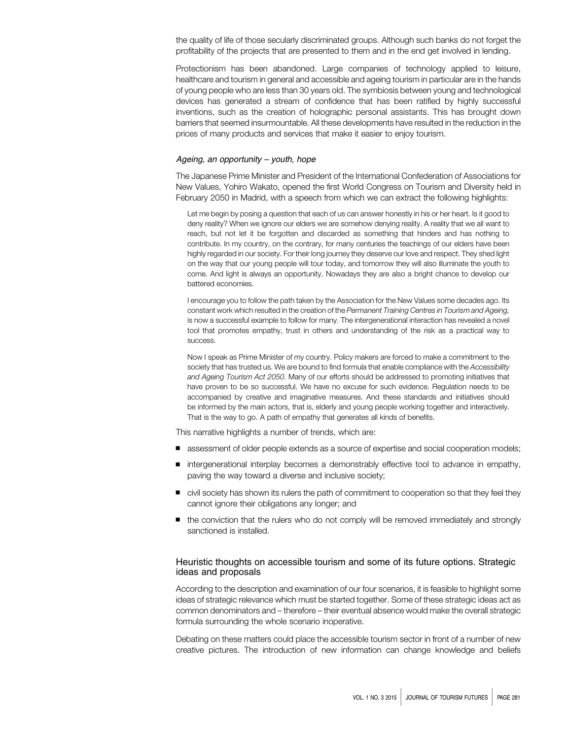the quality of life of those secularly discriminated groups. Although such banks do not forget the profitability of the projects that are presented to them and in the end get involved in lending.

Protectionism has been abandoned. Large companies of technology applied to leisure, healthcare and tourism in general and accessible and ageing tourism in particular are in the hands of young people who are less than 30 years old. The symbiosis between young and technological devices has generated a stream of confidence that has been ratified by highly successful inventions, such as the creation of holographic personal assistants. This has brought down barriers that seemed insurmountable. All these developments have resulted in the reduction in the prices of many products and services that make it easier to enjoy tourism.

#### Ageing, an opportunity – youth, hope

The Japanese Prime Minister and President of the International Confederation of Associations for New Values, Yohiro Wakato, opened the first World Congress on Tourism and Diversity held in February 2050 in Madrid, with a speech from which we can extract the following highlights:

Let me begin by posing a question that each of us can answer honestly in his or her heart. Is it good to deny reality? When we ignore our elders we are somehow denying reality. A reality that we all want to reach, but not let it be forgotten and discarded as something that hinders and has nothing to contribute. In my country, on the contrary, for many centuries the teachings of our elders have been highly regarded in our society. For their long journey they deserve our love and respect. They shed light on the way that our young people will tour today, and tomorrow they will also illuminate the youth to come. And light is always an opportunity. Nowadays they are also a bright chance to develop our battered economies.

I encourage you to follow the path taken by the Association for the New Values some decades ago. Its constant work which resulted in the creation of the Permanent Training Centres in Tourism and Ageing, is now a successful example to follow for many. The intergenerational interaction has revealed a novel tool that promotes empathy, trust in others and understanding of the risk as a practical way to success.

Now I speak as Prime Minister of my country. Policy makers are forced to make a commitment to the society that has trusted us. We are bound to find formula that enable compliance with the Accessibility and Ageing Tourism Act 2050. Many of our efforts should be addressed to promoting initiatives that have proven to be so successful. We have no excuse for such evidence. Regulation needs to be accompanied by creative and imaginative measures. And these standards and initiatives should be informed by the main actors, that is, elderly and young people working together and interactively. That is the way to go. A path of empathy that generates all kinds of benefits.

This narrative highlights a number of trends, which are:

- assessment of older people extends as a source of expertise and social cooperation models;
- intergenerational interplay becomes a demonstrably effective tool to advance in empathy, paving the way toward a diverse and inclusive society;
- civil society has shown its rulers the path of commitment to cooperation so that they feel they cannot ignore their obligations any longer; and
- the conviction that the rulers who do not comply will be removed immediately and strongly sanctioned is installed.

## Heuristic thoughts on accessible tourism and some of its future options. Strategic ideas and proposals

According to the description and examination of our four scenarios, it is feasible to highlight some ideas of strategic relevance which must be started together. Some of these strategic ideas act as common denominators and – therefore – their eventual absence would make the overall strategic formula surrounding the whole scenario inoperative.

Debating on these matters could place the accessible tourism sector in front of a number of new creative pictures. The introduction of new information can change knowledge and beliefs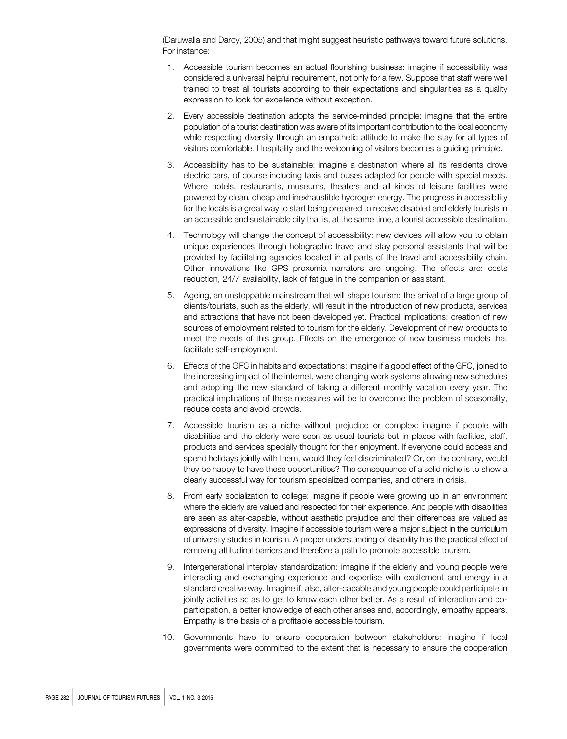(Daruwalla and Darcy, 2005) and that might suggest heuristic pathways toward future solutions. For instance:

- 1. Accessible tourism becomes an actual flourishing business: imagine if accessibility was considered a universal helpful requirement, not only for a few. Suppose that staff were well trained to treat all tourists according to their expectations and singularities as a quality expression to look for excellence without exception.
- 2. Every accessible destination adopts the service-minded principle: imagine that the entire population of a tourist destination was aware of its important contribution to the local economy while respecting diversity through an empathetic attitude to make the stay for all types of visitors comfortable. Hospitality and the welcoming of visitors becomes a guiding principle.
- 3. Accessibility has to be sustainable: imagine a destination where all its residents drove electric cars, of course including taxis and buses adapted for people with special needs. Where hotels, restaurants, museums, theaters and all kinds of leisure facilities were powered by clean, cheap and inexhaustible hydrogen energy. The progress in accessibility for the locals is a great way to start being prepared to receive disabled and elderly tourists in an accessible and sustainable city that is, at the same time, a tourist accessible destination.
- 4. Technology will change the concept of accessibility: new devices will allow you to obtain unique experiences through holographic travel and stay personal assistants that will be provided by facilitating agencies located in all parts of the travel and accessibility chain. Other innovations like GPS proxemia narrators are ongoing. The effects are: costs reduction, 24/7 availability, lack of fatigue in the companion or assistant.
- 5. Ageing, an unstoppable mainstream that will shape tourism: the arrival of a large group of clients/tourists, such as the elderly, will result in the introduction of new products, services and attractions that have not been developed yet. Practical implications: creation of new sources of employment related to tourism for the elderly. Development of new products to meet the needs of this group. Effects on the emergence of new business models that facilitate self-employment.
- 6. Effects of the GFC in habits and expectations: imagine if a good effect of the GFC, joined to the increasing impact of the internet, were changing work systems allowing new schedules and adopting the new standard of taking a different monthly vacation every year. The practical implications of these measures will be to overcome the problem of seasonality, reduce costs and avoid crowds.
- 7. Accessible tourism as a niche without prejudice or complex: imagine if people with disabilities and the elderly were seen as usual tourists but in places with facilities, staff, products and services specially thought for their enjoyment. If everyone could access and spend holidays jointly with them, would they feel discriminated? Or, on the contrary, would they be happy to have these opportunities? The consequence of a solid niche is to show a clearly successful way for tourism specialized companies, and others in crisis.
- 8. From early socialization to college: imagine if people were growing up in an environment where the elderly are valued and respected for their experience. And people with disabilities are seen as alter-capable, without aesthetic prejudice and their differences are valued as expressions of diversity. Imagine if accessible tourism were a major subject in the curriculum of university studies in tourism. A proper understanding of disability has the practical effect of removing attitudinal barriers and therefore a path to promote accessible tourism.
- 9. Intergenerational interplay standardization: imagine if the elderly and young people were interacting and exchanging experience and expertise with excitement and energy in a standard creative way. Imagine if, also, alter-capable and young people could participate in jointly activities so as to get to know each other better. As a result of interaction and coparticipation, a better knowledge of each other arises and, accordingly, empathy appears. Empathy is the basis of a profitable accessible tourism.
- 10. Governments have to ensure cooperation between stakeholders: imagine if local governments were committed to the extent that is necessary to ensure the cooperation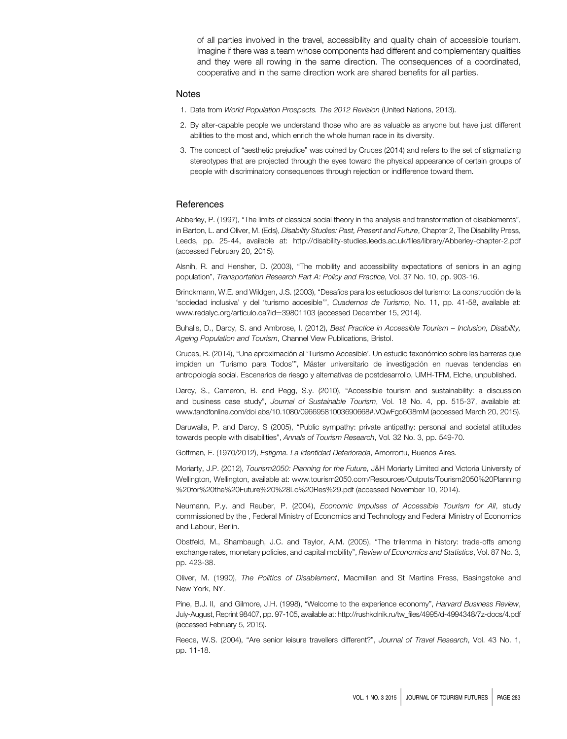of all parties involved in the travel, accessibility and quality chain of accessible tourism. Imagine if there was a team whose components had different and complementary qualities and they were all rowing in the same direction. The consequences of a coordinated, cooperative and in the same direction work are shared benefits for all parties.

## **Notes**

- 1. Data from World Population Prospects. The 2012 Revision (United Nations, 2013).
- 2. By alter-capable people we understand those who are as valuable as anyone but have just different abilities to the most and, which enrich the whole human race in its diversity.
- 3. The concept of "aesthetic prejudice" was coined by Cruces (2014) and refers to the set of stigmatizing stereotypes that are projected through the eyes toward the physical appearance of certain groups of people with discriminatory consequences through rejection or indifference toward them.

## **References**

Abberley, P. (1997), "The limits of classical social theory in the analysis and transformation of disablements", in Barton, L. and Oliver, M. (Eds), Disability Studies: Past, Present and Future, Chapter 2, The Disability Press, Leeds, pp. 25-44, available at:<http://disability-studies.leeds.ac.uk/files/library/Abberley-chapter-2.pdf> (accessed February 20, 2015).

Alsnih, R. and Hensher, D. (2003), "The mobility and accessibility expectations of seniors in an aging population", Transportation Research Part A: Policy and Practice, Vol. 37 No. 10, pp. 903-16.

Brinckmann, W.E. and Wildgen, J.S. (2003), "Desafíos para los estudiosos del turismo: La construcción de la 'sociedad inclusiva' y del 'turismo accesible'", Cuadernos de Turismo, No. 11, pp. 41-58, available at: www.redalyc.org/articulo.oa?id=39801103 (accessed December 15, 2014).

Buhalis, D., Darcy, S. and Ambrose, I. (2012), Best Practice in Accessible Tourism – Inclusion, Disability, Ageing Population and Tourism, Channel View Publications, Bristol.

Cruces, R. (2014), "Una aproximación al 'Turismo Accesible'. Un estudio taxonómico sobre las barreras que impiden un 'Turismo para Todos'", Máster universitario de investigación en nuevas tendencias en antropología social. Escenarios de riesgo y alternativas de postdesarrollo, UMH-TFM, Elche, unpublished.

Darcy, S., Cameron, B. and Pegg, S.y. (2010), "Accessible tourism and sustainability: a discussion and business case study", Journal of Sustainable Tourism, Vol. 18 No. 4, pp. 515-37, available at: <www.tandfonline.com/doi abs/10.1080/09669581003690668#.VQwFgo6G8mM> (accessed March 20, 2015).

Daruwalla, P. and Darcy, S (2005), "Public sympathy: private antipathy: personal and societal attitudes towards people with disabilities", Annals of Tourism Research, Vol. 32 No. 3, pp. 549-70.

Goffman, E. (1970/2012), Estigma. La Identidad Deteriorada, Amorrortu, Buenos Aires.

Moriarty, J.P. (2012), Tourism2050: Planning for the Future, J&H Moriarty Limited and Victoria University of Wellington, Wellington, available at: [www.tourism2050.com/Resources/Outputs/Tourism2050%20Planning](www.tourism2050.com/Resources/Outputs/Tourism2050%20Planning%20for%20the%20Future%20%28Lo%20Res%29.pdf) [%20for%20the%20Future%20%28Lo%20Res%29.pdf](www.tourism2050.com/Resources/Outputs/Tourism2050%20Planning%20for%20the%20Future%20%28Lo%20Res%29.pdf) (accessed November 10, 2014).

Neumann, P.y. and Reuber, P. (2004), Economic Impulses of Accessible Tourism for All, study commissioned by the , Federal Ministry of Economics and Technology and Federal Ministry of Economics and Labour, Berlin.

Obstfeld, M., Shambaugh, J.C. and Taylor, A.M. (2005), "The trilemma in history: trade-offs among exchange rates, monetary policies, and capital mobility", Review of Economics and Statistics, Vol. 87 No. 3, pp. 423-38.

Oliver, M. (1990), The Politics of Disablement, Macmillan and St Martins Press, Basingstoke and New York, NY.

Pine, B.J. II, and Gilmore, J.H. (1998), "Welcome to the experience economy", Harvard Business Review, July-August, Reprint 98407, pp. 97-105, available at: [http://rushkolnik.ru/tw\\_files/4995/d-4994348/7z-docs/4.pdf](http://rushkolnik.ru/tw_files/4995/d-4994348/7z-docs/4.pdf) (accessed February 5, 2015).

Reece, W.S. (2004), "Are senior leisure travellers different?", Journal of Travel Research, Vol. 43 No. 1, pp. 11-18.